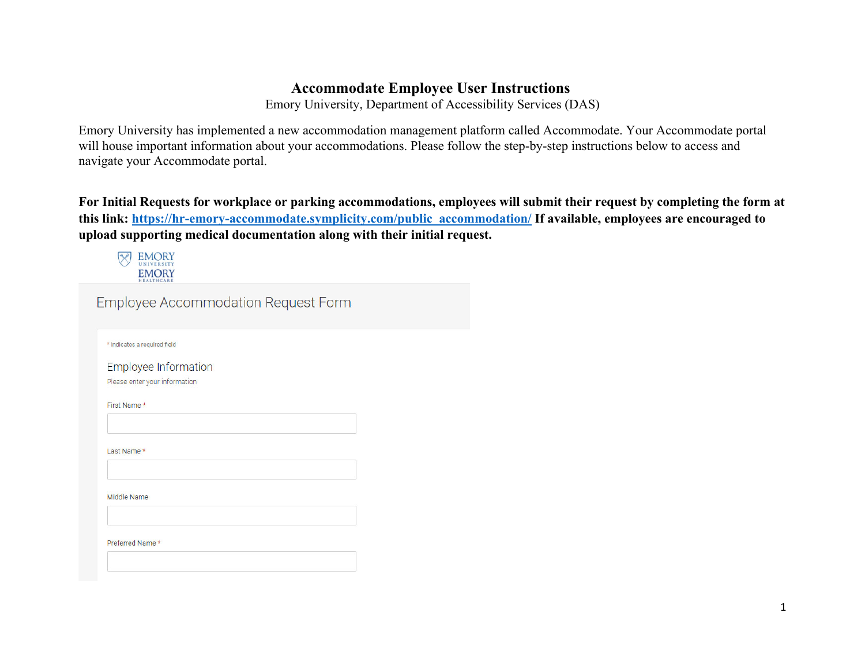## **Accommodate Employee User Instructions**

Emory University, Department of Accessibility Services (DAS)

Emory University has implemented a new accommodation management platform called Accommodate. Your Accommodate portal will house important information about your accommodations. Please follow the step-by-step instructions below to access and navigate your Accommodate portal.

**For Initial Requests for workplace or parking accommodations, employees will submit their request by completing the form at this link: https://hr-emory-accommodate.symplicity.com/public\_accommodation/ If available, employees are encouraged to upload supporting medical documentation along with their initial request.** 

**EMORY**  $\boxtimes$ **EMORY** Employee Accommodation Request Form \* indicates a required field **Employee Information** Please enter your information First Name \* Last Name \* Middle Name Preferred Name \*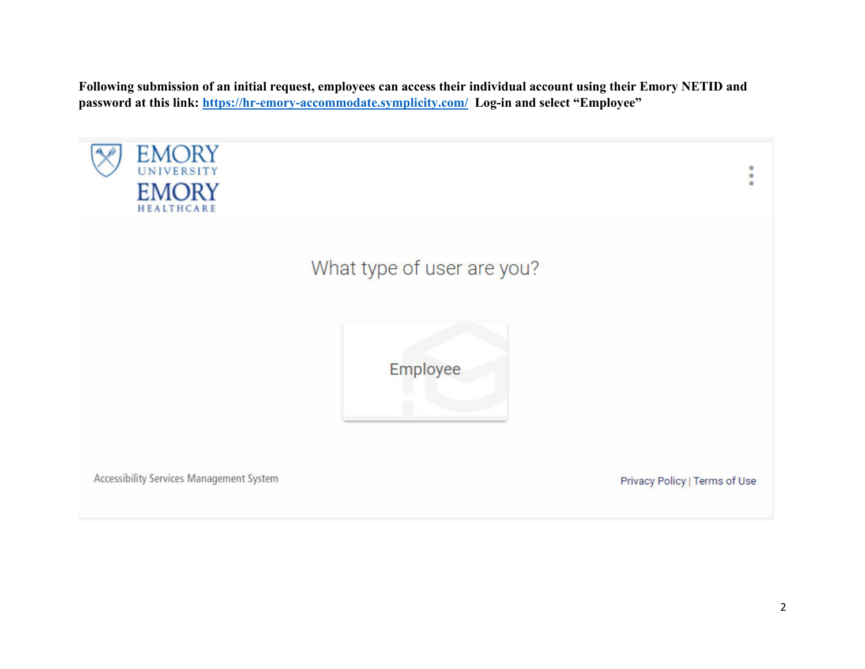**Following submission of an initial request, employees can access their individual account using their Emory NETID and password at this link: https://hr-emory-accommodate.symplicity.com/ Log-in and select "Employee"**

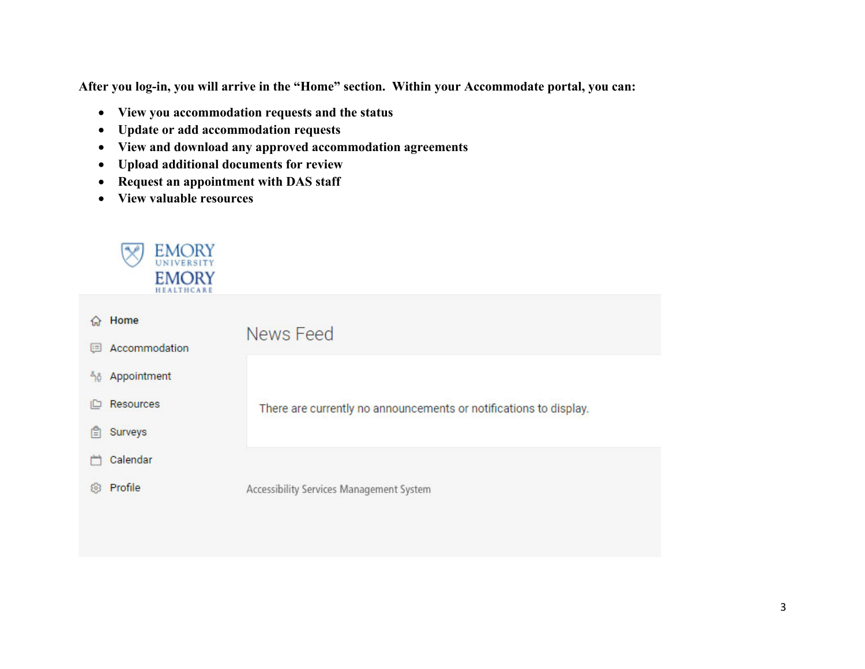**After you log-in, you will arrive in the "Home" section. Within your Accommodate portal, you can:** 

- **View you accommodation requests and the status**
- $\bullet$ **Update or add accommodation requests**
- $\bullet$ **View and download any approved accommodation agreements**
- $\bullet$ **Upload additional documents for review**
- $\bullet$ **Request an appointment with DAS staff**
- $\bullet$ **View valuable resources**



| $\Omega$ | Home          | News Feed                                                         |
|----------|---------------|-------------------------------------------------------------------|
| 国        | Accommodation |                                                                   |
| ñô.      | Appointment   |                                                                   |
| هار      | Resources     | There are currently no announcements or notifications to display. |
| 旧        | Surveys       |                                                                   |
|          | Calendar      |                                                                   |
| 63       | Profile       | Accessibility Services Management System                          |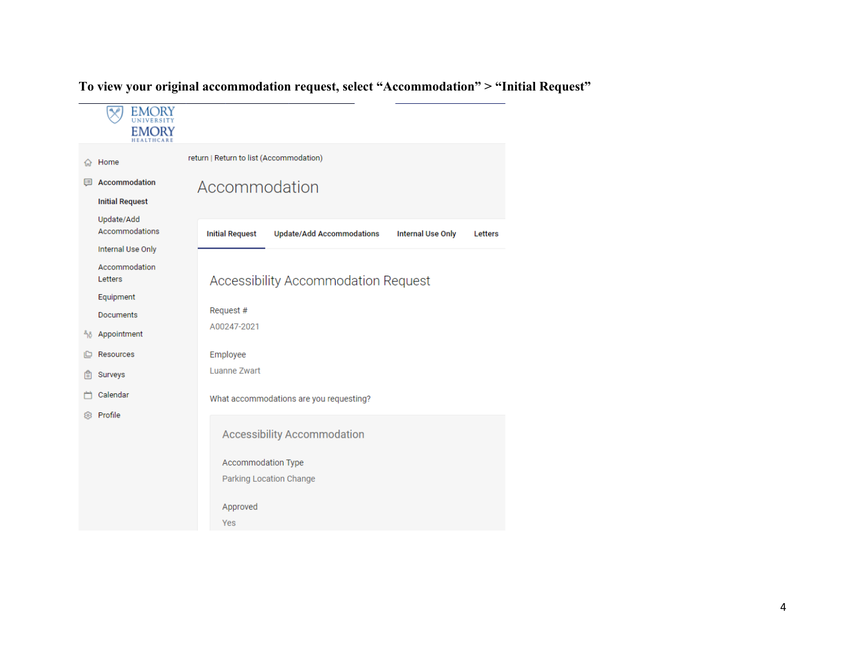## **EMORY** स्टि **EMORY** return | Return to list (Accommodation) **命** Home **图 Accommodation** Accommodation **Initial Request** Update/Add Accommodations **Initial Request Update/Add Accommodations Internal Use Only** Letters Internal Use Only Accommodation Accessibility Accommodation Request Letters Equipment Request # Documents A00247-2021 å<sub>0</sub> Appointment Resources Employee **Luanne Zwart A** Surveys Calendar What accommodations are you requesting? @ Profile **Accessibility Accommodation** Accommodation Type Parking Location Change Approved Yes

**To view your original accommodation request, select "Accommodation" > "Initial Request"**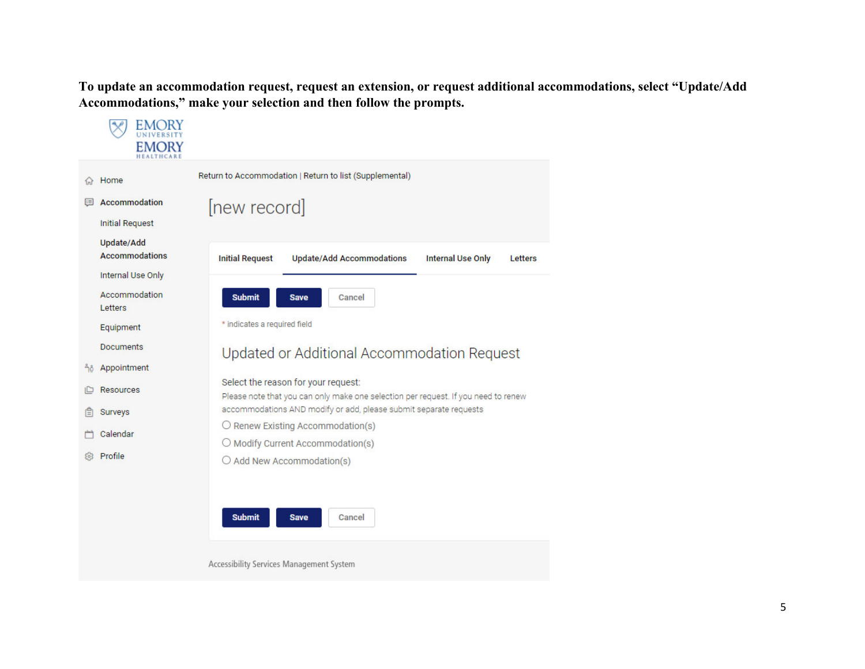**To update an accommodation request, request an extension, or request additional accommodations, select "Update/Add Accommodations," make your selection and then follow the prompts.** 

| Home                                            | Return to Accommodation   Return to list (Supplemental)                                                                   |
|-------------------------------------------------|---------------------------------------------------------------------------------------------------------------------------|
| Accommodation<br>$:=$<br><b>Initial Request</b> | [new record]                                                                                                              |
| Update/Add<br><b>Accommodations</b>             | <b>Update/Add Accommodations</b><br><b>Initial Request</b><br><b>Internal Use Only</b><br>Letters                         |
| <b>Internal Use Only</b>                        |                                                                                                                           |
| Accommodation<br>Letters                        | <b>Submit</b><br><b>Save</b><br>Cancel                                                                                    |
| Equipment                                       | * indicates a required field                                                                                              |
| <b>Documents</b>                                | Updated or Additional Accommodation Request                                                                               |
| Appointment<br>ñô                               |                                                                                                                           |
| <b>Resources</b>                                | Select the reason for your request:<br>Please note that you can only make one selection per request. If you need to renew |
| Surveys                                         | accommodations AND modify or add, please submit separate requests                                                         |
| Calendar                                        | $\bigcirc$ Renew Existing Accommodation(s)<br>O Modify Current Accommodation(s)                                           |
| Profile                                         | $\bigcirc$ Add New Accommodation(s)                                                                                       |
|                                                 | <b>Submit</b><br><b>Save</b><br>Cancel                                                                                    |
|                                                 | Accessibility Services Management System                                                                                  |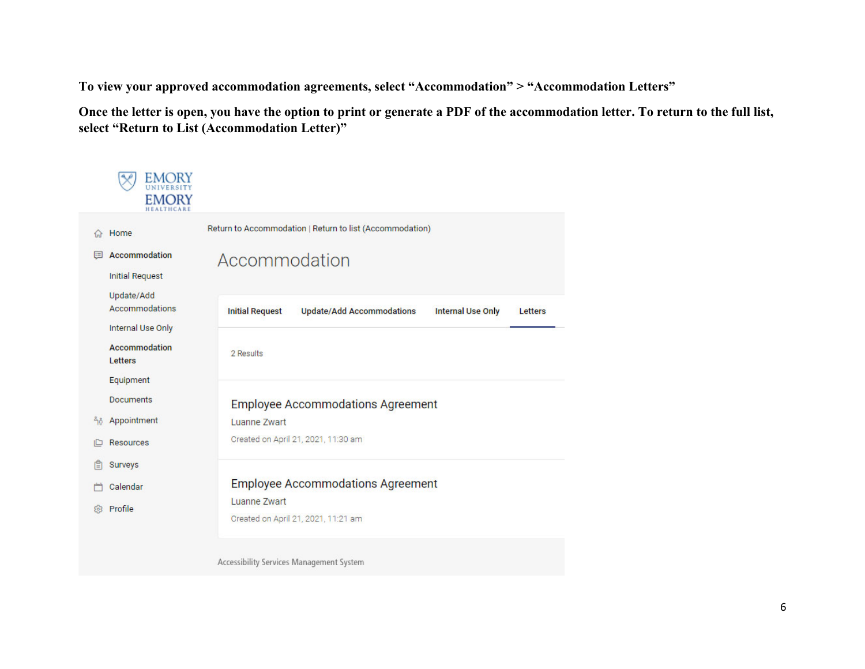**To view your approved accommodation agreements, select "Accommodation" > "Accommodation Letters"** 

**Once the letter is open, you have the option to print or generate a PDF of the accommodation letter. To return to the full list, select "Return to List (Accommodation Letter)"** 

|    | <b>EMORY</b>                                      |                                                                                                   |
|----|---------------------------------------------------|---------------------------------------------------------------------------------------------------|
|    | Home                                              | Return to Accommodation   Return to list (Accommodation)                                          |
|    | Accommodation<br><b>Initial Request</b>           | Accommodation                                                                                     |
|    | Update/Add<br>Accommodations<br>Internal Use Only | <b>Initial Request</b><br><b>Update/Add Accommodations</b><br><b>Internal Use Only</b><br>Letters |
|    | Accommodation<br>Letters                          | 2 Results                                                                                         |
|    | Equipment                                         |                                                                                                   |
|    | <b>Documents</b>                                  | <b>Employee Accommodations Agreement</b>                                                          |
| 56 | Appointment                                       | Luanne Zwart                                                                                      |
|    | <b>Resources</b>                                  | Created on April 21, 2021, 11:30 am                                                               |
| 旧  | Surveys                                           |                                                                                                   |
|    | Calendar                                          | <b>Employee Accommodations Agreement</b>                                                          |
|    | Profile                                           | Luanne Zwart<br>Created on April 21, 2021, 11:21 am                                               |
|    |                                                   | Accessibility Services Management System                                                          |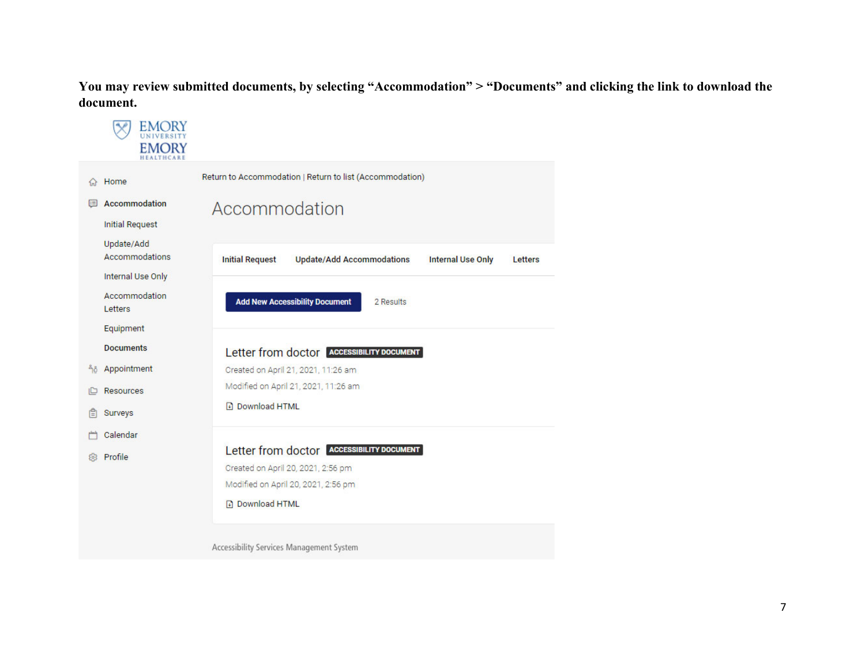**You may review submitted documents, by selecting "Accommodation" > "Documents" and clicking the link to download the document.** 

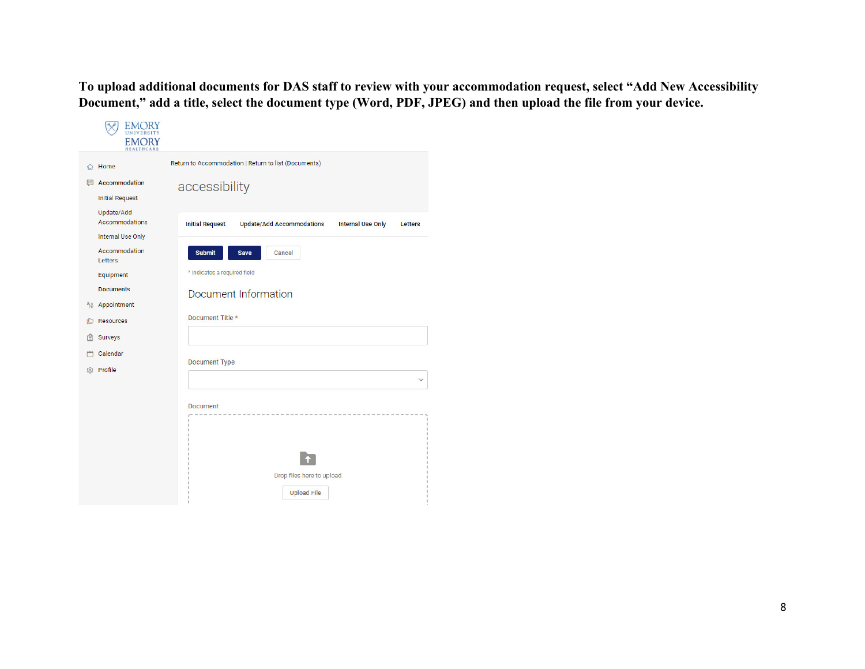**To upload additional documents for DAS staff to review with your accommodation request, select "Add New Accessibility Document," add a title, select the document type (Word, PDF, JPEG) and then upload the file from your device.** 

| Home<br>$f_{nl}$                                         | Return to Accommodation   Return to list (Documents)                                              |
|----------------------------------------------------------|---------------------------------------------------------------------------------------------------|
| Accommodation<br>E<br><b>Initial Request</b>             | accessibility                                                                                     |
| Update/Add<br>Accommodations<br><b>Internal Use Only</b> | <b>Initial Request</b><br><b>Update/Add Accommodations</b><br><b>Internal Use Only</b><br>Letters |
| Accommodation<br>Letters                                 | <b>Submit</b><br>Save<br><b>Cancel</b>                                                            |
| Equipment                                                | * indicates a required field                                                                      |
| <b>Documents</b><br>Appointment<br>ేరి                   | Document Information                                                                              |
| <b>Resources</b>                                         | Document Title *                                                                                  |
| Surveys                                                  |                                                                                                   |
| Calendar                                                 | Document Type                                                                                     |
| Profile<br>砂                                             |                                                                                                   |
|                                                          | <b>Document</b>                                                                                   |
|                                                          |                                                                                                   |
|                                                          |                                                                                                   |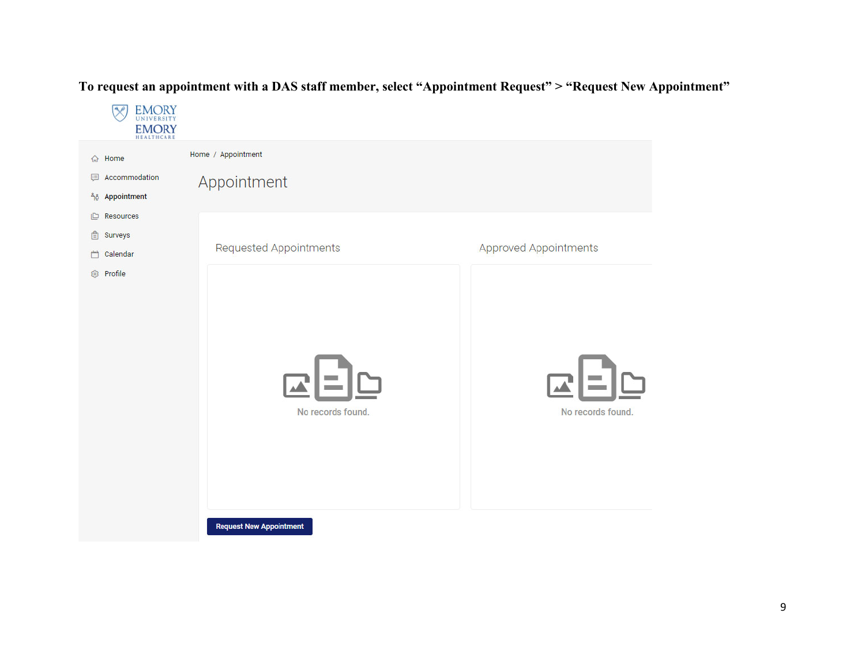**EMORY**<br>UNIVERSITY  $\infty$ **EMORY** Home / Appointment 命 Home Accommodation Appointment 46 Appointment  $\Box$  Resources **A** Surveys Requested Appointments Approved Appointments □ Calendar <sup>3</sup> Profile No records found. No records found. **Request New Appointment** 

## **To request an appointment with a DAS staff member, select "Appointment Request" > "Request New Appointment"**